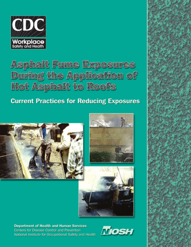

**Asphalt Fume Exposures During the Application of Hot Asphalt to Roofs** 

# **Current Practices for Reducing Exposures**







**Department of Health and Human Services** Centers for Disease Control and Prevention National Institute for Occupational Safety and Health

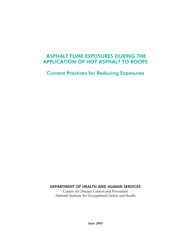# ASPHALT FUME EXPOSURES DURING THE APPLICATION OF HOT ASPHALT TO ROOFS

Current Practices for Reducing Exposures

DEPARTMENT OF HEALTH AND HUMAN SERVICES

Centers for Disease Control and Prevention National Institute for Occupational Safety and Health

**June 2003**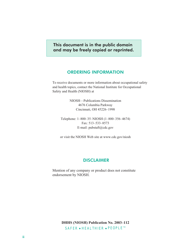This document is in the public domain and may be freely copied or reprinted.

### ORDERING INFORMATION

To receive documents or more information about occupational safety and health topics, contact the National Institute for Occupational Safety and Health (NIOSH) at

> NIOSH—Publications Dissemination 4676 Columbia Parkway Cincinnati, OH 45226–1998

Telephone: 1–800–35–NIOSH (1–800–356–4674) Fax: 513–533–8573 E-mail: pubstaft@cdc.gov

or visit the NIOSH Web site at www.cdc.gov/niosh

### **DISCLAIMER**

Mention of any company or product does not constitute endorsement by NIOSH.

> **DHHS (NIOSH) Publication No. 2003–112** SAFER • HEALTHIER • PEOPLE™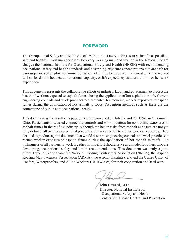# FOREWORD

The Occupational Safety and Health Act of 1970 (Public Law 91–596) assures, insofar as possible, safe and healthful working conditions for every working man and woman in the Nation. The act charges the National Institute for Occupational Safety and Health (NIOSH) with recommending occupational safety and health standards and describing exposure concentrations that are safe for various periods of employment—including but not limited to the concentrations at which no worker will suffer diminished health, functional capacity, or life expectancy as a result of his or her work experience.

This document represents the collaborative efforts of industry, labor, and government to protect the health of workers exposed to asphalt fumes during the application of hot asphalt to roofs. Current engineering controls and work practices are presented for reducing worker exposures to asphalt fumes during the application of hot asphalt to roofs. Prevention methods such as these are the cornerstone of public and occupational health.

This document is the result of a public meeting convened on July 22 and 23, 1996, in Cincinnati, Ohio. Participants discussed engineering controls and work practices for controlling exposures to asphalt fumes in the roofing industry. Although the health risks from asphalt exposure are not yet fully defined, all partners agreed that prudent action was needed to reduce worker exposures. They decided to produce a joint document that would describe engineering controls and work practices to reduce worker exposure to asphalt fumes during the application of hot asphalt to roofs. The willingness of all partners to work together in this effort should serve as a model for others who are developing occupational safety and health recommendations. This document was truly a joint effort. I would like to thank the National Roofing Contractors Association (NRCA), the Asphalt Roofing Manufacturers' Association (ARMA), the Asphalt Institute (AI), and the United Union of Roofers, Waterproofers, and Allied Workers (UURWAW) for their cooperation and hard work.

John Howard, M.D. Director, National Institute for Occupational Safety and Health Centers for Disease Control and Prevention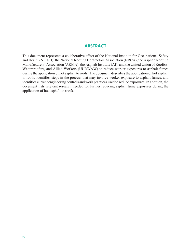### **ABSTRACT**

This document represents a collaborative effort of the National Institute for Occupational Safety and Health (NIOSH), the National Roofing Contractors Association (NRCA), the Asphalt Roofing Manufacturers' Association (ARMA), the Asphalt Institute (AI), and the United Union of Roofers, Waterproofers, and Allied Workers (UURWAW) to reduce worker exposures to asphalt fumes during the application of hot asphalt to roofs. The document describes the application of hot asphalt to roofs, identifies steps in the process that may involve worker exposure to asphalt fumes, and identifies current engineering controls and work practices used to reduce exposures. In addition, the document lists relevant research needed for further reducing asphalt fume exposures during the application of hot asphalt to roofs.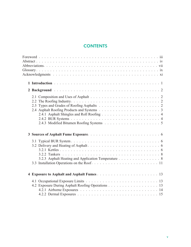# **CONTENTS**

|  | 3.2.3 Asphalt Heating and Application Temperature 8 |
|--|-----------------------------------------------------|
|  |                                                     |
|  |                                                     |
|  |                                                     |
|  |                                                     |
|  |                                                     |
|  |                                                     |
|  |                                                     |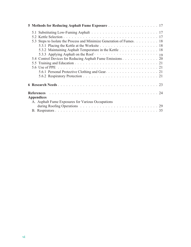| 5 Methods for Reducing Asphalt Fume Exposure 17                      |
|----------------------------------------------------------------------|
|                                                                      |
| 5.3 Steps to Isolate the Process and Minimize Generation of Fumes 18 |
| 5.3.2 Maintaining Asphalt Temperature in the Kettle 18               |
| 5.4 Control Devices for Reducing Asphalt Fume Emissions 20           |
|                                                                      |
|                                                                      |
|                                                                      |
|                                                                      |
| <b>Appendices</b>                                                    |
| A. Asphalt Fume Exposures for Various Occupations                    |
|                                                                      |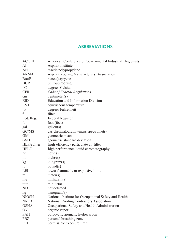# ABBREVIATIONS

| <b>ACGIH</b>       | American Conference of Governmental Industrial Hygienists |
|--------------------|-----------------------------------------------------------|
| AI                 | Asphalt Institute                                         |
| APP                | atactic polypropylene                                     |
| <b>ARMA</b>        | Asphalt Roofing Manufacturers' Association                |
| B(a)P              | $benzo(a)$ pryene                                         |
| <b>BUR</b>         | built-up roofing                                          |
| $\rm ^{\circ}C$    | degrees Celsius                                           |
| <b>CFR</b>         | Code of Federal Regulations                               |
| cm                 | centimeter(s)                                             |
| <b>EID</b>         | <b>Education and Information Division</b>                 |
| <b>EVT</b>         | equiviscous temperature                                   |
| $\rm ^{\circ}F$    | degrees Fahrenheit                                        |
| $\mathbf{f}$       | filter                                                    |
| Fed. Reg.          | <b>Federal Register</b>                                   |
| ft                 | foot (feet)                                               |
| gal                | gallon(s)                                                 |
| GC/MS              | gas chromatography/mass spectrometry                      |
| <b>GM</b>          | geometric mean                                            |
| <b>GSD</b>         | geometric standard deviation                              |
| <b>HEPA</b> filter | high-efficiency particulate air filter                    |
| <b>HPLC</b>        | high performance liquid chromatography                    |
| hr                 | hour(s)                                                   |
| in.                | inch(es)                                                  |
| kg                 | kilogram(s)                                               |
| 1 <sub>b</sub>     | pound(s)                                                  |
| <b>LEL</b>         | lower flammable or explosive limit                        |
| m                  | meter(s)                                                  |
| mg                 | milligram(s)                                              |
| min                | minute(s)                                                 |
| ND                 | not detected                                              |
| ng                 | nanogram(s)                                               |
| <b>NIOSH</b>       | National Institute for Occupational Safety and Health     |
| <b>NRCA</b>        | National Roofing Contractors Association                  |
| <b>OSHA</b>        | Occupational Safety and Health Administration             |
| OV                 | organic vapor                                             |
| PAH                | polycyclic aromatic hydrocarbon                           |
| <b>PBZ</b>         | personal breathing zone                                   |
| PEL                | permissible exposure limit                                |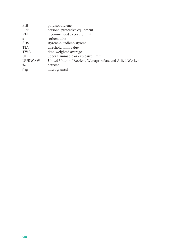| PIB           | polyisobutylene                                            |
|---------------|------------------------------------------------------------|
| <b>PPE</b>    | personal protective equipment                              |
| <b>REL</b>    | recommended exposure limit                                 |
| S             | sorbent tube                                               |
| <b>SBS</b>    | styrene-butadiene-styrene                                  |
| <b>TLV</b>    | threshold limit value                                      |
| <b>TWA</b>    | time-weighted average                                      |
| <b>UEL</b>    | upper flammable or explosive limit                         |
| <b>UURWAW</b> | United Union of Roofers, Waterproofers, and Allied Workers |
| $\frac{0}{0}$ | percent                                                    |
| mg            | microgram(s)                                               |
|               |                                                            |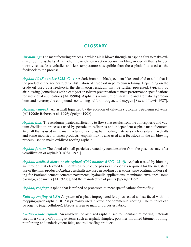# **GLOSSARY**

*Air blowing:* The manufacturing process in which air is blown through an asphalt flux to make oxidized roofing asphalts. An exothermic oxidation reaction occurs, yielding an asphalt that is harder, more viscous, less volatile, and less temperature-susceptible than the asphalt flux used as the feedstock to the process.

*Asphalt (CAS number 8052–42–4):* A dark brown to black, cement-like semisolid or solid that is the product of the nondestructive distillation of crude oil in petroleum refining. Depending on the crude oil used as a feedstock, the distillation residuum may be further processed, typically by air-blowing (sometimes with a catalyst) or solvent precipitation to meet performance specifications for individual applications [AI 1990b]. Asphalt is a mixture of paraffinic and aromatic hydrocarbons and heterocyclic compounds containing sulfur, nitrogen, and oxygen [Sax and Lewis 1987].

*Asphalt, cutback:* An asphalt liquefied by the addition of diluents (typically petroleum solvents) [AI 1990b; Roberts et al. 1996; Speight 1992].

*Asphalt flux:* The residuum (heated sufficiently to flow) that results from the atmospheric and vacuum distillation processes used by petroleum refineries and independent asphalt manufacturers. Asphalt flux is used in the manufacture of some asphalt roofing materials such as saturant asphalts and some modified bitumen products. Asphalt flux is also used as a feedstock in the air-blowing process used to make oxidized roofing asphalt.

*Asphalt fumes:* The cloud of small particles created by condensation from the gaseous state after volatilization of asphalt [NIOSH 1977].

*Asphalt, oxidized-blown or air-refined (CAS number 64742–93–4):* Asphalt treated by blowing air through it at elevated temperatures to produce physical properties required for the industrial use of the final product. Oxidized asphalts are used in roofing operations, pipe coating, undersealing for Portland cement concrete pavements, hydraulic applications, membrane envelopes, some paving-grade mixes [AI 1990b], and the manufacture of paints [Speight 1992].

*Asphalt, roofing:* Asphalt that is refined or processed to meet specifications for roofing.

*Built-up roofing (BUR):* A system of asphalt-impregnated felt plies sealed and surfaced with hot mopping-grade asphalt. BUR is primarily used in low-slope commercial roofing. The felt plies can be organic (e.g., cellulose), fibrous screen or mat, or polyester fabric.

*Coating-grade asphalt:* An air-blown or oxidized asphalt used to manufacture roofing materials used in a variety of roofing systems such as asphalt shingles, polymer-modified bitumen roofing, reinforcing and underlayment felts, and roll roofing products.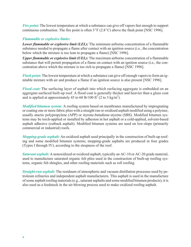*Fire point:* The lowest temperature at which a substance can give off vapors fast enough to support continuous combustion. The fire point is often  $5^{\circ}F(2.8^{\circ}C)$  above the flash point [NSC 1996].

#### *Flammable or explosive limits:*

*Lower flammable or explosive limit (LEL):* The minimum airborne concentration of a flammable substance needed to propagate a flame after contact with an ignition source (i.e., the concentration below which the mixture is too lean to propagate a flame) [NSC 1996].

*Upper flammable or explosive limit (UEL):* The maximum airborne concentration of a flammable substance that will permit propagation of a flame on contact with an ignition source (i.e., the concentration above which the mixture is too rich to propagate a flame) [NSC 1996].

*Flash point:* The lowest temperature at which a substance can give off enough vapors to form an ignitable mixture with air and produce a flame if an ignition source is also present [NSC 1996].

*Flood coat:* The surfacing layer of asphalt into which surfacing aggregate is embedded on an aggregate-surfaced built-up roof. A flood coat is generally thicker and heavier than a glaze coat and is applied at approximately 45 to 60 lb/100  $\text{ft}^2$  (2 to 3 kg/m<sup>2</sup>).

*Modified bitumen system:* A roofing system based on membranes manufactured by impregnating or coating one or more fabric plies with a straight run or oxidized asphalt modified using a polymer, usually atactic polypropylene (APP) or styrene-butadiene-styrene (SBS). Modified bitumen systems may be torch-applied or installed by adhesion in hot asphalt or a cold-applied, solvent-based asphalt adhesive (cutback asphalt). Modified bitumen systems are used on low-slope (primarily commercial or industrial) roofs.

*Mopping-grade asphalt:* An oxidized asphalt used principally in the construction of built-up roofing and some modified bitumen systems; mopping-grade asphalts are produced in four grades (Types I through IV), according to the steepness of the roof.

*Saturant asphalt:* A nonoxidized or oxidized asphalt, typically an AC-10 or AC-20 grade material, used to manufacture saturated organic felt plies used in the construction of built-up roofing systems, organic felt shingles, and other roofing materials such as roll roofing.

*Straight-run asphalt:* The residuum of atmospheric and vacuum distillation processes used by petroleum refineries and independent asphalt manufacturers. This asphalt is used in the manufacture of some asphalt roofing materials (e.g., saturant asphalts and some modified bitumen products); it is also used as a feedstock in the air-blowing process used to make oxidized roofing asphalt.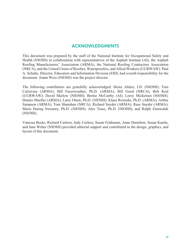# ACKNOWLEDGMENTS

This document was prepared by the staff of the National Institute for Occupational Safety and Health (NIOSH) in collaboration with representatives of the Asphalt Institute (AI), the Asphalt Roofing Manufacturers' Association (ARMA), the National Roofing Contractors Association (NRCA), and the United Union of Roofers, Waterproofers, and Allied Workers (UURWAW). Paul A. Schulte, Director, Education and Information Division (EID), had overall responsibility for the document. Joann Wess (NIOSH) was the project director.

The following contributors are gratefully acknowledged: Heinz Ahlers, J.D. (NIOSH); Tom Calzavara (ARMA); Bill Fayerweather, Ph.D. (ARMA); Bill Good (NRCA); Bob Krul (UURWAW); David Marlow (NIOSH); Bernie McCarthy (AI); Leroy Mickelsen (NIOSH); Dennis Mueller (ARMA); Larry Olsen, Ph.D. (NIOSH); Klaus Rosinski, Ph.D. (ARMA); Arthur Sampson (ARMA); Tom Shanahan (NRCA); Richard Snyder (ARMA); Russ Snyder (ARMA); Marie Haring Sweeney, Ph.D. (NIOSH); Alex Teass, Ph.D. (NIOSH); and Ralph Zumwalde (NIOSH).

Vanessa Becks, Richard Carlson, Judy Curless, Susan Feldmann, Anne Hamilton, Susan Kaelin, and Jane Weber (NIOSH) provided editorial support and contributed to the design, graphics, and layout of this document.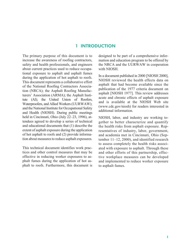### 1 INTRODUCTION

The primary purpose of this document is to increase the awareness of roofing contractors, safety and health professionals, and engineers about current practices used to reduce occupational exposure to asphalt and asphalt fumes during the application of hot asphalt to roofs. This document represents a collaborative effort of the National Roofing Contractors Association (NRCA); the Asphalt Roofing Manufacturers' Association (ARMA); the Asphalt Institute (AI); the United Union of Roofers, Waterproofers, and Allied Workers(UURWAW); and the National Institute for Occupational Safety and Health (NIOSH). During public meetings held in Cincinnati, Ohio (July 22–23, 1996), attendees agreed to develop a series of technical and educational documents that (1) describe the extent of asphalt exposure during the application of hot asphalt to roofs and (2) provide information about measures to reduce asphalt exposures.

This technical document identifies work practices and other control measures that may be effective in reducing worker exposures to asphalt fumes during the application of hot asphalt to roofs. Furthermore, this document is designed to be part of a comprehensive information and education program to be offered by the NRCA and the UURWAW in cooperation with NIOSH.

In a document published in 2000 [NIOSH 2000], NIOSH reviewed the health effects data on asphalt that had become available since the publication of the 1977 criteria document on asphalt [NIOSH 1977]. This review addresses acute and chronic effects of asphalt exposure and is available at the NIOSH Web site (www.cdc.gov/niosh) for readers interested in additional information.

NIOSH, labor, and industry are working together to better characterize and quantify the health risks from asphalt exposure. Representatives of industry, labor, government, and academia met in Cincinnati, Ohio (September 11–12, 2000), and identified research to assess completely the health risks associated with exposure to asphalt. Through these and other efforts of this partnership, effective workplace measures can be developed and implemented to reduce worker exposure to asphalt fumes.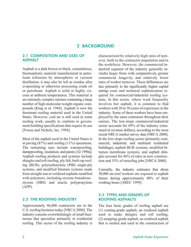### **2 BACKGROUND**

#### **2.1 COMPOSITION AND USES OF ASPHALT**

Asphalt is a dark brown to black, cementitious, thermoplastic material manufactured in petroleum refineries by atmospheric or vacuum distillation; it may also be left as residue after evaporating or otherwise processing crude oil or petroleum. Asphalt is solid or highly viscous at ambient temperatures. This material is an extremely complex mixture containing a large number of high-molecular-weight organic compounds [King et al. 1984]. Asphalt is now the dominant roofing material used in the United States. However, coal tar is still used in some roofing work, usually to conform to government building specifications that require its use [Freese and Nichols, Inc. 1994].

Most of the asphalt used in the United States is in paving (87%) and roofing (11%) operations. The remaining uses include waterproofing, dampproofing, insulation, and paints [AI 1990a]. Asphalt roofing products and systems include shingles and roll roofing, ply felt, built-up roofing (BUR), polyisobutylene (PIB) single-ply systems, and modified bitumen systems made from straight-run or oxidized asphalts modified with polymers, including styrene-butadienestyrene (SBS) and atactic polypropylene (APP).

#### **2.2 THE ROOFING INDUSTRY**

Approximately 46,000 contractors are in the U.S. roofing business today [NRCA 2000]. The industry consists overwhelmingly of small businesses that specialize primarily in residential roofing. This sector of the roofing industry is characterized by relatively high rates of turnover, both in the contractor population and in the workforce. However, the commercial/industrial segment of the industry generally includes larger firms with comparatively greater commercial longevity and relatively lower rates of worker turnover. These differences are due primarily to the significantly higher capital startup costs and technical sophistication required for commercial/industrial roofing systems. In this sector, where work frequently involves hot asphalt, it is common to find workers with 20 to 30 years of experience in the industry. Some of these workers have been employed by the same contractor throughout their careers. The low-slope commercial/industrial sector accounts for 69% of the industry (measured in revenue dollars), according to the most recent NRCA market survey data [NRCA 2000]. In the low-slope roofing sector (primarily commercial, industrial, and multiunit residential buildings), asphalt BUR systems, modified bitumen membrane systems, and asphalt shingles account for 46% of sales in new construction and 53% of reroofing jobs [NRCA 2000].

Currently, the industry estimates that about 50,000 on-roof workers are exposed to asphalt fumes during approximately 40% of their working hours [AREC 1999].

#### **2.3 TYPES AND GRADES OF ROOFING ASPHALTS**

The four basic grades of roofing asphalt are (1) coating-grade asphalt, an oxidized asphalt used to make shingles and roll roofing; (2) mopping-grade asphalt, an oxidized asphalt that is melted and used in the construction of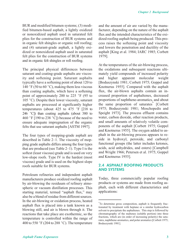BUR and modified bitumen systems; (3) modified bitumen-based asphalt, a lightly oxidized or nonoxidized asphalt used in saturated felt plies for the construction of BUR systems and in organic felt shingles or organic roll roofing; and (4) saturant-grade asphalt, a lightly oxidized or nonoxidized asphalt used in saturated felt plies for the construction of BUR systems and in organic felt shingles or roll roofing.

The principal physical differences between saturant and coating-grade asphalts are viscosity and softening point. Saturant asphalts typically have a softening point of about 120 to 140 °F (50 to 60 °C), making them less viscous than coating asphalts, which have a softening point of approximately 200 to 225  $\degree$ F (95 to  $105 \degree C$ ). Despite their lower viscosity, saturant asphalts are processed at significantly higher temperatures (about 425 to 475  $\degree$ F [218 to 246  $^{\circ}$ C]) than coating asphalts (about 380 to 460 °F [190 to 238 °C]) because of the need to ensure adequate impregnation of the organic felts that use saturant asphalts [ASTM 1997].

The four types of mopping-grade asphalt are described in Table 2–1. The viscosity of mopping grade asphalts differs among the four types that are produced (see Table 2–1). Type I is the softest (least viscous) grade and is used on very low-slope roofs. Type IV is the hardest (most viscous) grade and is used on the highest slope roofs suitable for BUR systems.

Petroleum refineries and independent asphalt manufacturers produce oxidized roofing asphalt by air-blowing the residuum of refinery atmospheric or vacuum distillation processes. This starting material, termed "asphalt flux," may also be a blend of residue from different sources. In the air-blowing or oxidation process, heated asphalt flux is placed into a tank known as a blowing still, and air is blown through it. The reactions that take place are exothermic, so the temperature is controlled within the range of 400 to 550  $\degree$ F (204 to 288  $\degree$ C). The temperature

and the amount of air are varied by the manufacturer, depending on the nature of the asphalt flux and the intended characteristics of the oxidized roofing asphalt being produced. This process raises the softening point and viscosity and lowers the penetration and ductility of the asphalt [King et al. 1984; IARC 1985; Corbett 1979].

At the temperatures of the air-blowing process, the oxidations and subsequent reactions ultimately yield compounds of increased polarity and higher apparent molecular weight [Boduszynski 1981; Corbett 1975; Goppel and Knotnerus 1955]. Compared with the asphalt flux, the air-blown asphalts contain an increased proportion of asphaltenes, decreased proportions of naphthene-aromatics, and about the same proportion of saturates<sup>\*</sup> [Corbett] 1975; Boduszynski 1981; Moschopedis and Speight 1973]. The process effluent contains water, carbon dioxide, other reaction products, and small amounts of relatively volatile components of the asphalt [Corbett 1975; Goppel and Knotnerus 1955]. The oxygen added to asphalt in the air-blowing process appears to reside in hydroxyl, peroxide, and carbonyl functional groups (the latter includes ketones, acids, acid anhydrides, and esters) [Campbell and Wright 1966; Petersen et al. 1975; Goppel and Knotnerus 1955].

#### **2.4 ASPHALT ROOFING PRODUCTS AND SYSTEMS**

Today, three commercially popular roofing products or systems are made from roofing asphalt, each with different characteristics and applications:

<sup>\*</sup> To determine gross composition, asphalt is frequently fractionated by treatment with heptane or a similar hydrocarbon solvent to precipitate the asphaltenes. This step is followed by chromatography of the maltenes (soluble portion) into three fractions, which are (in order of increasing polarity) the saturates, naphthene-aromatics, and polar aromatics [Corbett 1975; Boduszynski 1981].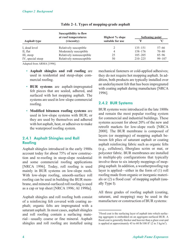|                     | <b>Susceptibility to flow</b><br>at roof temperatures | Highest % slope  |              | Softening point |
|---------------------|-------------------------------------------------------|------------------|--------------|-----------------|
| <b>Asphalt type</b> | (viscosity)                                           | suitable for use | $^{\circ}$ F |                 |
| I, dead level       | Relatively susceptible                                |                  | $135 - 151$  | $57 - 66$       |
| II, flat            | Moderately susceptible                                | $\overline{4}$   | 158–176      | $70 - 80$       |
| III, steep          | Relatively nonsusceptible                             | 25               | $185 - 205$  | $85 - 96$       |
| IV, special steep   | Relatively nonsusceptible                             | 50               | $210 - 225$  | $99 - 107$      |

#### **Table 2–1. Types of mopping-grade asphalt**

Adapted from ARMA [1996].

- **Asphalt shingles and roll roofing** are used in residential and steep-slope commercial roofing.
- **BUR systems** are asphalt-impregnated felt pieces that are sealed, adhered, and surfaced with hot mopping asphalt. The systems are used in low-slope commercial roofing.
- **Modified bitumen roofing systems** are used in low-slope systems with BUR; or they are used by themselves and adhered with hot asphalt, heat, or adhesives to make the waterproof roofing system.

#### **2.4.1 Asphalt Shingles and Roll Roofing**

Asphalt shingles introduced in the early 1900s account today for about 75% of new construction and re-roofing in steep-slope residential and some commercial roofing applications [NRCA 1996]. Today, roll roofing is used mainly in BUR systems on low-slope roofs. With low-slope roofing, smooth-surface roll roofing can be used in building the BUR membrane, and mineral-surfaced roll roofing is used as a cap or top sheet [NRCA 1996; AI 1990a].

Asphalt shingles and roll roofing both consist of a reinforcing felt covered with coating asphalt; organic felts are impregnated with a saturant asphalt. In most cases, asphalt shingles and roll roofing contain a surfacing material—usually coarse or fine mineral. Asphalt shingles and roll roofing are installed using mechanical fasteners or cold-applied adhesives; they do not require hot mopping asphalt. In addition, both products are typically installed over an underlayment felt that has been impregnated with coating asphalt during manufacture [NRCA 1996].

#### **2.4.2 BUR Systems**

BUR systems were introduced in the late 1800s and remain the most popular roofing system for commercial and industrial buildings. These systems account for about 20% of the new and retrofit markets for low-slope roofs [NRCA 2000]. The BUR membrane is composed of layers (or moppings) of mopping asphalt between felt plies of saturant asphalt or coating asphalt reinforcing fabric such as organic felts (e.g., cellulose), fiberglass scrim or mat, or polyester fabric. BUR membranes are installed in multiple-ply configurations that typically involve three to six interply moppings of mopping asphalt. In addition, a weatherproofing top layer is applied—either in the form of (1) roll roofing made from organic or inorganic materials or  $(2)$  a flood coat<sup>†</sup> of mopping asphalt (usually Type I).

All three grades of roofing asphalt (coating, saturant, and mopping) may be used in the manufacture or construction of BUR systems:

<sup>†</sup> Flood coat is the surfacing layer of asphalt into which surfacing aggregate is embedded on an aggregate-surfaced BUR. A flood coat is generally thicker and heavier than a glaze coat and is applied at approximately 45 to 60 lb/100  $\text{ft}^2$  (2 to 3 kg/m<sup>2</sup>).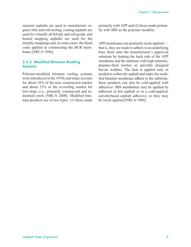saturant asphalts are used to manufacture organic felts and roll roofing; coating asphalts are used for virtually all felt ply and roll goods; and heated mopping asphalts are used for the interply moppings and, in some cases, the flood coats applied in constructing the BUR membrane [NRCA 1996].

#### 2.4.3 Modified Bitumen Roofing **Systems**

Polymer-modified bitumen roofing systems were introduced in the 1970s and today account for about 18% of the new construction market and about 23% of the re-roofing market for low-slope (i.e., primarily commercial and industrial) roofs [NRCA 2000]. Modified bitumen products are of two types: (1) those made primarily with APP and (2) those made primarily with SBS as the polymer modifier.

APP membranes are primarily torch-applied that is, they are made to adhere to an underlying base sheet onto the manufacturer's approved substrate by heating the back side of the APP membrane and the substrate with high-intensity, propane-fired torches or specially designed hot-air welders. The heat is applied only as needed to soften the asphalt and make the modified bitumen membrane adhere to the substrate; these products can also be cold-applied with adhesives. SBS membranes may be applied by adhesion in hot asphalt or in a cold-applied, solvent-based asphalt adhesive; or they may be torch-applied [NRCA 1996].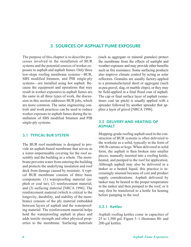### **3 SOURCES OF ASPHALT FUME EXPOSURE**

The purpose of this chapter is to describe processes involved in the installation of BUR systems and the potential sources of worker exposure to asphalt and asphalt fumes. Only three low-slope roofing membrane systems—BUR, SBS modified bitumen, and PIB single-ply systems—are installed using hot asphalt. Because the equipment and operations that may result in worker exposures to asphalt fumes are the same in all three types of work, the discussion in this section addresses BUR jobs, which are more common. The same engineering controls and work practices can be used to reduce worker exposure to asphalt fumes during the installation of SBS modified bitumen and PIB single-ply systems.

#### **3.1 TYPICAL BUR SYSTEM**

The BUR roof membrane is designed to provide an asphalt-based membrane that serves as a water-impermeable covering for the roof assembly and the building as a whole. The membrane prevents water from entering the building and protects the underlying insulation and roof deck from damage caused by moisture. A typical BUR membrane consists of three basic components: (1) waterproofing material (asphalt or coal tar), (2) reinforcement material, and (3) surfacing material [NRCA 1996]. The reinforcement material (which is critical to the longevity, durability, and stability of the membrane) consists of the ply material embedded between layers of asphalt and the waterproofing material. The reinforcement material helps hold the waterproofing asphalt in place and adds tensile strength and other physical properties to the membrane. Surfacing materials (such as aggregate or mineral granules) protect the membrane from the effects of sunlight and weather exposure and may provide other benefits such as fire resistance. Some surfacing products also improve climate control by acting as solar reflectors. Granules are usually factory-applied to a premanufactured sheet or aggregate (such as pea gravel, slag, or marble chips), or they may be field-applied in a final flood coat of asphalt. The cap or final surface layer of asphalt (sometimes coal tar pitch) is usually applied with a spreader followed by another spreader that applies a layer of gravel [NRCA 1996].

#### **3.2 DELIVERY AND HEATING OF ASPHALT**

Mopping-grade roofing asphalt used in the construction of BUR systems is often delivered to the worksite as a solid, typically in the form of 100-lb cartons or kegs. When delivered in solid form, the asphalt is then broken into smaller pieces, manually inserted into a roofing kettle, heated, and pumped to the roof for application. Although asphalt may also be delivered in a tanker as a heated liquid, this practice is increasingly unusual because of cost and product supply considerations. Asphalt delivered by tanker may be heated to the proper temperature in the tanker and then pumped to the roof, or it may first be transferred to a kettle for heating before pumping to the roof.

#### 3.2.1 Kettles

Asphalt roofing kettles come in capacities of 25 to 1,500 gal. Figure 3–1 illustrates 80- and 200-gal kettles.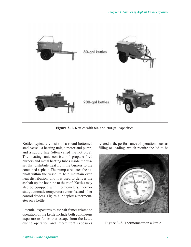

**Figure 3–1.** Kettles with 80- and 200-gal capacities.

Kettles typically consist of a round-bottomed steel vessel, a heating unit, a motor and pump, and a supply line (often called the hot pipe). The heating unit consists of propane-fired burners and metal heating tubes inside the vessel that distribute heat from the burners to the contained asphalt. The pump circulates the asphalt within the vessel to help maintain even heat distribution, and it is used to deliver the asphalt up the hot pipe to the roof. Kettles may also be equipped with thermometers, thermostats, automatic temperature controls, and other control devices. Figure 3–2 depicts a thermometer on a kettle.

Potential exposures to asphalt fumes related to operation of the kettle include both continuous exposure to fumes that escape from the kettle during operation and intermittent exposures

related to the performance of operations such as filling or loading, which require the lid to be



**Figure 3–2.** Thermometer on a kettle.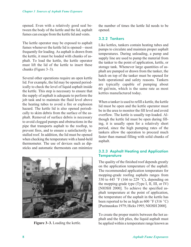opened. Even with a relatively good seal between the body of the kettle and the lid, asphalt fumes can escape from the kettle lid and vents.

The kettle operator may be exposed to asphalt fumes whenever the kettle lid is opened—most frequently for loading. As asphalt is drawn from the kettle, it must be loaded with chunks of asphalt. To load the kettle, the kettle operator must lift the lid of the kettle to insert these chunks (Figure 3–3).

Several other operations require an open kettle lid. For example, the lid may be opened periodically to check the level of liquid asphalt inside the kettle. This step is necessary to ensure that the supply of asphalt is adequate to perform the job task and to maintain the fluid level above the heating tubes to avoid a fire or explosion hazard. The kettle lid is also opened periodically to skim debris from the surface of the asphalt. Removal of surface debris is necessary to avoid clogged pumps and obstructions in the pipe that transports asphalt to the rooftop, to prevent fires, and to ensure a satisfactorily installed roof. In addition, the lid must be opened when checking the temperature with a hand-held thermometer. The use of devices such as dipsticks and automatic thermostats can minimize



**Figure 3–3.** Loading the kettle.

the number of times the kettle lid needs to be opened.

#### 3.2.2 Tankers

Like kettles, tankers contain heating tubes and pumps to circulate and maintain proper asphalt temperatures. During unloading, a pump and supply line are used to pump the material from the tanker to the point of application, kettle, or storage tank. Whenever large quantities of asphalt are pumped or drawn from the tanker, the hatch on top of the tanker must be opened for both operational and safety reasons. Tankers are typically capable of pumping about 60 gal/min, which is the same rate as most kettles manufactured today.

When a tanker is used to refill a kettle, the kettle lid must be open and the kettle operator must be in the area to monitor the fill level and avoid overflow. The kettle is usually top-loaded. Although the kettle lid must be open during filling, it is usually open for a relatively short period, since the high pumping rates of the tankers allow the operation to proceed much faster than manual filling with solid chunks of asphalt.

### **3.2.3 Asphalt Heating and Application Temperature**

The quality of the finished roof depends greatly on the application temperature of the asphalt. The recommended application temperature for mopping-grade roofing asphalts ranges from 330 to 445 °F (166 to 229 °C), depending on the mopping-grade type (Type I, II, III, or IV) [NIOSH 2000]. To achieve the specified asphalt temperature at the point of application, the temperature of the asphalt in the kettle has been reported to be as high as  $600 \degree F (316 \degree C)$ [Puzinauskas 1979; Hicks 1995; NIOSH 2000].

To create the proper matrix between the hot asphalt and the felt plies, the liquid asphalt must be applied within a temperature range known as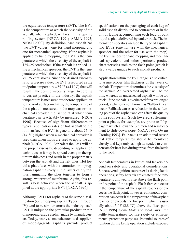the equiviscous temperature (EVT). The EVT is the temperature at which the viscosity of the asphalt, when applied, will result in a quality roofing system [NRCA 1991; ARMA 1993; NIOSH 2000]. By definition, each asphalt has two EVT values—one for hand mopping and one for mechanical spreading. If the asphalt is applied by hand mopping, the EVT is the temperature at which the viscosity of the asphalt is 125±25 centistokes. If the asphalt is applied using a mechanical spreader, the EVT is the temperature at which the viscosity of the asphalt is 75±25 centistokes. Since the desired viscosity is not a precise value, the EVT is reported as the midpoint temperature  $\pm 25$  °F ( $\pm 14$  °C) that will result in the desired viscosity range. According to current practice in the industry, the asphalt temperature is measured just before application to the roof surface—that is, the temperature of the asphalt is measured in the mop cart or mechanical spreader, the last point at which temperature can practicably be measured [NRCA 1996]. Because of significant differences in typical application rates of hot asphalt to the roof surface, the EVT is generally about 25 $\degree$ F  $(14 \degree C)$  higher when a mechanical spreader is used than when mops are used to apply the asphalt [NRCA 1996]. Asphalt at the EVT will be the proper viscosity, depending on application technique; so it may be spread evenly to the optimum thickness and result in the proper matrix between the asphalt and the felt plies. Hot liquid asphalt fuses with the saturation or impregnation asphalt already in the layers of ply felt, thus laminating the plies together to form a strong, waterproof membrane. Again, this result is best achieved when the asphalt is applied at the appropriate EVT [NRCA 1996].

Although EVTs for asphalts of the same classification (i.e., mopping asphalt Types I through IV) tend to be similar across the industry, each EVT is unique to the particular production run of mopping-grade asphalt made by manufacturers. Today, nearly all manufacturers and suppliers of mopping-grade asphalts provide product specifications on the packaging of each keg of solid asphalt distributed to contractors or in the bill of lading accompanying each load of bulk liquid asphalt delivered by tanker truck. The information specifics include the type of asphalt, two EVTs (one for use with the mechanical spreader and the other for use with the mop), the EVT ranges for hand mopping and mechanical spreaders, and other pertinent product characteristics such as the flash point (which is also a value unique to each asphalt product).

Application within the EVT range is also critical to assure proper film thickness of the layers of asphalt. Temperature determines the viscosity of the asphalt. An overheated asphalt will be too thin, whereas an underheated asphalt will be too thick. If the asphalt is overheated for a prolonged period, a phenomenon known as "fallback" can occur. Fallback causes a reduction in the softening point of the asphalt and can affect the quality of the roof system. Such lowered-softeningpoint asphalts, for example, are prone to "slippage," which allows the bitumen and reinforcement to slide down-slope [NRCA 1996; Owens Corning 1993]. Fallback is an additional reason that kettle temperatures should be monitored closely and kept only as high as needed to compensate for heat loss during travel from the kettle to the roof.

Asphalt temperatures in kettles and tankers depend on safety and operational considerations. Since several ignition sources exist during kettle operations, safety hazards are created if the temperature is allowed to rise above the flash point or fire point of the asphalt. Flash fires can occur if the temperature of the asphalt reaches or exceeds the flash point; however, continuous combustion can occur if the temperature of the asphalt reaches or exceeds the fire point, which is usually about 5  $\degree$ F (2.8  $\degree$ C) above the flash point [NSC 1996]. Some State and local laws limit kettle temperatures for fire safety or environmental protection purposes. Potential sources of ignition during kettle operation include exposed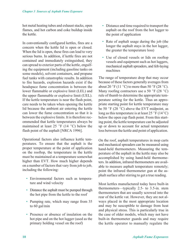hot metal heating tubes and exhaust stacks, open flames, and hot carbon and coke buildup inside the kettle.

In conventionally configured kettles, fires are a concern when the kettle lid is open or closed. When the lid is open, these fires can lead to very serious burns. In addition, if kettle fires are not contained and immediately extinguished, they can spread to exterior parts of the kettle, engulfing the equipment (including gasoline tanks on some models), solvent containers, and propane fuel tanks with catastrophic results. In addition to fire hazards, explosion hazards exist if the headspace fume concentration is between the lower flammable or explosive limit (LEL) and the upper flammable or explosive limit (UEL). If the kettle temperature is near the flash point, care needs to be taken when opening the kettle lid because the ambient air entering the kettle can lower the fume concentration so that it is between the explosive limits. It is therefore recommended that kettle temperatures always be maintained at least 25  $\degree$ F (14  $\degree$ C) below the flash point of the asphalt [NRCA 1996].

Operational factors also influence kettle temperatures. To ensure that the asphalt is the proper temperature at the point of application on the rooftop, the temperature in the kettle must be maintained at a temperature somewhat higher than EVT. How much higher depends on a number of factors that vary from job to job, including the following:

- Environmental factors such as temperature and wind velocity
- Distance the asphalt must be pumped through the hot pipe from the kettle to the roof
- Pumping rate, which may range from 35 to 60 gal/min
- Presence or absence of insulation on the hot pipe and on the hot lugger (used as the primary holding vessel on the roof)
- Distance and time required to transport the asphalt on the roof from the hot lugger to the point of application
- Rate of asphalt usage during the job (the longer the asphalt stays in the hot lugger, the greater the temperature loss)
- Use of closed vessels or lids on rooftop vessels and equipment such as hot luggers, mechanical asphalt spreaders, and felt-laying machines

The range of temperature drop that may occur because of these factors generally averages from about 20 °F (11 °C) to more than 50 °F (28 °C). Many roofing contractors use a 50  $\degree$ F (28  $\degree$ C) rule of thumb to determine the appropriate temperature setting for the kettle. Thus an appropriate starting point for kettle temperature may be 50  $\degree$ F (28  $\degree$ C) above the EVT midpoint, as long as this temperature is at least  $25^{\circ}F(14^{\circ}C)$ below the open cup flash point. From this starting point, the kettle temperature can be adjusted up or down to account for actual temperature loss between the kettle and point of application.

On the roof, asphalt temperatures in mop carts and mechanical spreaders can be measured using hand-held thermometers. Measuring the temperature of the asphalt in the kettle may also be accomplished by using hand-held thermometers. In addition, infrared thermometers are available to measure asphalt temperature remotely; point the infrared thermometer gun at the asphalt surface after stirring to get a true reading.

Most kettles manufactured today have built-in thermometers—typically 2.5- to 3.5-in. stem thermometers that are usually screwed into the rear of the kettle vat. However, they are not always placed in the most appropriate location and may be susceptible to damage from heat and physical stress. This is particularly true in the case of older models, which may not have built-in thermometer guards and may require the kettle operator to manually regulate the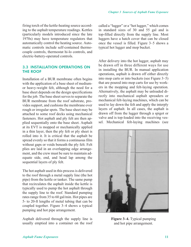firing torch of the kettle-heating source according to the asphalt temperature readings. Kettles (particularly models introduced since the late 1970s) may have temperature regulators that automatically control the heating source. Automatic controls include self-contained thermocouple controls, thermostat hi-lo controls, and electric-battery-operated controls.

#### **3.3 INSTALLATION OPERATIONS ON THE ROOF**

Installation of a BUR membrane often begins with the application of a base sheet of mediumor heavy-weight felt, although the need for a base sheet depends on the design specifications for the job. The base sheet serves to separate the BUR membrane from the roof substrate, provides support, and cushions the membrane over rough or irregular spots. The base sheet may be attached to some roof decks using mechanical fasteners. Hot asphalt and ply felt are then applied sequentially onto the base sheet. Asphalt at its EVT is mopped or mechanically applied in a thin layer, then the ply felt or ply sheet is rolled into it. It is critical that the asphalt be spread evenly so that it forms a continuous film without gaps or voids beneath the ply felt. Felt plies are laid in an overlapping edge arrangement, and the crew must be sure to maintain adequate side, end, and head lap among the sequential layers of ply felt.

The hot asphalt used in this process is delivered to the roof through a metal supply line (the hot pipe) from the kettle or tanker. The same pump that recirculates the asphalt inside the kettle is typically used to pump the hot asphalt through the supply line to the roof. Standard pumping rates range from 35 to 60 gal/min. Hot pipes are 5- to 20-ft lengths of metal tubing that can be coupled together. Figure 3–4 shows a typical pumping and hot pipe arrangement.

Asphalt delivered through the supply line is usually emptied into a container on the roof called a "lugger" or a "hot lugger," which comes in standard sizes of 30 and 55 gal and is top-filled directly from the supply line. Most luggers have a hatch cover that can be closed once the vessel is filled. Figure 3–5 shows a typical hot lugger and mop bucket.

After delivery into the hot lugger, asphalt may be drawn off in three different ways for use in installing the BUR. In manual application operations, asphalt is drawn off either directly into mop carts or into buckets (see Figure 3–5) that are poured into mop carts for use by workers in the mopping and felt-laying operation. Alternatively, the asphalt may be unloaded directly into mechanical asphalt spreaders or mechanical felt-laying machines, which can be used to lay down the felt and apply the interply layers of asphalt. In all cases, the asphalt is drawn off from the lugger through a spigot or valve and is top-loaded into the receiving vessel. Mechanical felt-laying machines (see



**Figure 3–4.** Typical pumping and hot pipe arrangement.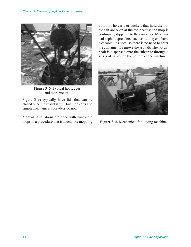

**Figure 3–5.** Typical hot lugger and mop bucket.

Figure 3–6) typically have lids that can be closed once the vessel is full, but mop carts and simple mechanical spreaders do not.

Manual installations are done with hand-held mops in a procedure that is much like mopping

a floor. The carts or buckets that hold the hot asphalt are open at the top because the mop is continually dipped into the container. Mechanical asphalt spreaders, such as felt layers, have closeable lids because there is no need to enter the container to remove the asphalt. The hot asphalt is dispensed onto the substrate through a series of valves on the bottom of the machine.



**Figure 3–6.** Mechanical felt-laying machine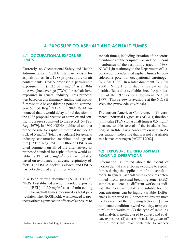### **4 EXPOSURE TO ASPHALT AND ASPHALT FUMES**

#### **4.1 OCCUPATIONAL EXPOSURE LIMITS**

Currently, no Occupational Safety and Health Administration (OSHA) standard exists for asphalt fumes. In a 1988 proposed rule on air contaminants, OSHA proposed a permissible exposure limit (PEL) of 5 mg/m<sup>3</sup> as an 8-hr time-weighted average (TWA) for asphalt fume exposures in general industry. This proposal was based on a preliminary finding that asphalt fumes should be considered a potential carcinogen [53 Fed. Reg.\* 21193]. In 1989, OSHA announced that it would delay a final decision on the 1988 proposal because of complex and conflicting issues submitted to the record [54 Fed. Reg. 2679]. In 1992, OSHA published another proposed rule for asphalt fumes that included a PEL of 5 mg/m<sup>3</sup> (total particulates) for general industry, construction, maritime, and agriculture [57 Fed. Reg. 26182]. Although OSHA invited comment on all of the alternatives, its proposed standard for asphalt fumes would establish a PEL of 5 mg/m<sup>3</sup> (total particulates) based on avoidance of adverse respiratory effects. The OSHA docket is closed, and OSHA has not scheduled any further action.

In a 1977 criteria document [NIOSH 1977], NIOSH established a recommended exposure limit (REL) of 5.0 mg/m<sup>3</sup> as a 15-min ceiling limit for asphalt fumes measured as total particulates. The NIOSH REL was intended to protect workers against acute effects of exposure to

asphalt fumes, including irritation of the serous membranes of the conjunctivae and the mucous membranes of the respiratory tract. In 1988, NIOSH (in testimony to the Department of Labor) recommended that asphalt fumes be considered a potential occupational carcinogen [NIOSH 1988]. In a later document [NIOSH 2000], NIOSH published a review of the health effects data available since the publication of the 1977 criteria document [NIOSH 1977]. This review is available at the NIOSH Web site (www.cdc.gov/niosh).

The current American Conference of Governmental Industrial Hygienists (ACGIH) threshold limit value (TLV) for asphalt fume is  $0.5$  mg/m<sup>3</sup> (benzene-soluble aerosol of the inhalable fraction) as an 8-hr TWA concentration with an A4 designation, indicating that it is not classifiable as a human carcinogen [ACGIH 2002].

#### 4.2 EXPOSURE DURING ASPHALT ROOFING OPERATIONS

Information is limited about the extent of worker dermal and airborne exposure to asphalt fumes during the application of hot asphalt to roofs. In general, asphalt fume exposures determined from personal-breathing-zone (PBZ) samples collected at different worksites indicate that total particulate and soluble fraction concentrations can be highly variable. Differences in reported PBZ concentrations are most likely a result of the following factors: (1) environmental conditions (wind velocity, temperature) at the worksite, (2) the type of sampling and analytical method used to collect and evaluate exposures, (3) other work tasks (e.g., tear-off of old roof) that may contribute to worker

<sup>\*</sup> *Federal Register*. See Fed. Reg. in references.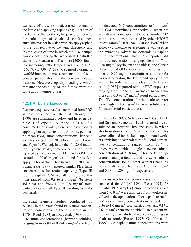exposure, (4) the work practices used in operating the kettle and applying asphalt (e.g., location of the kettle at the worksite, frequency of opening the kettle lid, type of asphalt and asphalt temperature, the manner in which workers apply asphalt to the roof relative to the wind direction), and (5) the length of time in which the PBZ sample was collected during the work shift. Controlled studies by Franzen and Trumbore [2000] found that increasing kettle temperatures from  $500\text{ °F}$ (260 °C) to 550 °F (288 °C) caused a dramatic twofold increase in measurements of total suspended particulates and the benzene soluble fraction. However, opacity readings, which measure the visibility of the fumes, were the same at both temperatures.

#### **4.2.1 Airborne Exposures**

Pertinent exposure results determined from PBZ samples collected from the 1970s through the 1990s are summarized below and listed in Table A–1 of Appendix A. In the 1970s, NIOSH conducted industrial hygiene studies of roofers applying hot asphalt to roofs. Airborne geometric mean (GM) fume concentrations (benzene solubles) ranged from  $\leq 0.04$  to 2.1 mg/m<sup>3</sup> [Brown] and Fajen 1977a,b,c]. In another NIOSH industrial hygiene study, fume concentrations were reported as cyclohexane solubles, and a GM concentration of 0.05 mg/m<sup>3</sup> was found for roofers applying hot asphalt [Hervin and Emmett 1976]. Puzinauskas [1979] reported similar PBZ fume concentrations for roofers applying Type III roofing asphalt. GM asphalt fume concentrations ranged from  $0.8$  to  $2.1$  mg/m<sup>3</sup> (benzene) solubles) and from 1.2 to 2.9 mg/m<sup>3</sup> (total particulates) for all Type III roofing asphalts evaluated.

Industrial hygiene studies conducted by NIOSH in the 1980s found PBZ fume concentrations comparable to those reported in the 1970s. Reed [1983] and Zey et al. [1988] found PBZ fume concentrations (benzene solubles) ranging from a GM of  $0.9-1.2$  mg/m<sup>3</sup> and from not detected (ND) concentrations to 1.4 mg/m<sup>3</sup> (no GM determined), respectively, when hot asphalt was being applied to roofs. Similar PBZ sample results were reported by other NIOSH investigators [Tharr 1982; Carson 1986] when either cyclohexane or acetonitrile was used as the extracting solvent for determining asphalt fume concentrations. Tharr [1982] reported GM fume concentrations ranging from 0.17 to  $0.28 \text{ mg/m}^3$  (cyclohexane solubles), and Carson [1986] found GM concentrations ranging from 0.16 to 0.27 mg/m<sup>3</sup> (acetonitrile solubles) for workers operating the kettle and applying hot asphalt to roofs. For roofers laying felt, Brandt et al. [1985] reported similar PBZ exposures ranging from  $0.2$  to  $1.1$  mg/m<sup>3</sup> (benzene solubles) and 0.5 to 1.7 mg/m<sup>3</sup> (total particulates). The GM concentrations for the kettle operator were higher  $(4.3 \text{ mg/m}^3)$  benzene solubles and 5.1 mg/m<sup>3</sup> total particulates).

In the early 1990s, Schneider and Susi [1993] and Susi and Schneider [1995] reported the results of an industrial hygiene study in which short-duration (11- to 296-min) PBZ samples were collected for the kettle operator and workers applying hot asphalt to roofs. Total particulate concentrations ranged from 10.4 to 28.85 mg/m<sup>3</sup>, with a single benzene soluble concentration of 21.8 mg/m<sup>3</sup> for the kettle operator. Total particulate and benzene soluble concentrations for all other workers handling hot asphalt ranged from  $\leq 0.03$  to 3.66 mg/m<sup>3</sup> and 0.08 to 1.89 mg/m<sup>3</sup>, respectively.

In a cross-sectional exposure assessment study conducted for AI [AI 1991; Hicks 1995], 38 full-shift PBZ samples (sampling periods ranged from 7 to 9 hr) were analyzed from workers involved in the application of hot asphalt to roofs. GM asphalt fume concentrations ranged from 0.36 to 1.0 mg/m<sup>3</sup> (total particulates) and 0.19 to  $0.67 \text{ mg/m}^3$  (benzene solubles). In a recent industrial hygiene study of workers applying asphalt to roofs [Exxon 1997; Gamble et al. 1999], GM asphalt fume concentrations were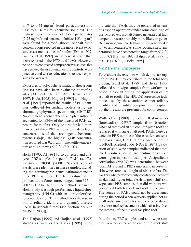0.17 to 0.44 mg/m<sup>3</sup> (total particulates) and 0.06 to 0.16 mg/m<sup>3</sup> (benzene solubles). The highest concentrations of total particulates  $(2.73 \text{ mg/m}^3)$  and benzene solubles  $(1.23 \text{ mg/m}^3)$ were found for a roof laborer. Asphalt fume concentrations reported in the more recent exposure assessment studies of roofers [Exxon 1997; Gamble et al. 1999] are somewhat lower than those reported in the 1970s and 1980s. However, no one has conducted comprehensive studies that have related the use of engineering controls, work practices, and worker education to reduced exposures for workers.

Exposures to polycyclic aromatic hydrocarbons (PAHs) have also been evaluated at roofing sites [AI 1991; Hatjian 1995; Hatjian et al. 1997; Hicks 1995]. Hatjian [1995] and Hatjian et al. [1997] reported the results of PBZ samples collected for asphalt roofers using gas chromatography/mass spectrometry (GC/MS). Napththalene, acenaphthene, and phenanthrene accounted for  $\geq 84\%$  of the measured PAH exposure for roofers. Only one roofer had more than one of three PBZ samples with detectable concentrations of the carcinogenic benzo(a) pyrene  $(B[a]P)$ ; the highest  $B(a)P$  concentration reported was  $0.2 \ \mu\text{g/m}^3$ . The kettle temperature at this site was  $572 \text{ }^{\circ}$ F (300  $\text{ }^{\circ}$ C).

Hicks [1995; AI 1991] also collected and analyzed PBZ samples for specific PAHs (see Table 4–7 in NIOSH [2000]). Several types of PAHs were identified in these samples, including the carcinogenic benzo(b)fluoranthene in three PBZ samples. The temperature of the product at the fume source ranged from 325 to 600 °F (163 to 316 °C). The method used in the Hicks study was high-performance liquid chromatography (HPLC) with an ultraviolet/fluorescence detector. This method lacks the resolution to reliably identify and quantify discrete PAHs in asphalt fumes (see Section 3.5.3 in NIOSH [2000]).

The Hatjian [1995] and Hatjian et al. [1997] studies as well as the Hicks [1995] study indicate that PAHs may be generated in various asphalt operations under some condition of use. Moreover, asphalt fumes generated at high temperatures are probably more likely to generate carcinogenic PAHs than fumes generated at lower temperatures. At some roofing sites, temperatures have been noted to range from  $572 \text{ }^{\circ}$ F (300 °C) [Hatjian 1995; Hatjian et al. 1997] to 600 °F (316 °C) [Hicks 1995].

#### **4.2.2 Dermal Exposures**

To evaluate the extent to which dermal absorption of PAHs may contribute to the total body burden, Wolff et al. [1989] and Hicks [1995] collected skin wipe samples from workers exposed to asphalt during the application of hot asphalt to roofs. The HPLC/fluorescence technique used by these authors cannot reliably identify and quantify components in asphalt, but their results are presented for completeness.

Wolff et al. [1989] collected 10 skin wipes (forehead) and 9 PBZ samples from 10 roofers who had removed an old coal-tar-pitch roof and replaced it with an asphalt roof. PAHs were detected in PBZ samples of these roofers on separate days using HPLC/fluorescence according to NIOSH Method 5506 [NIOSH 1984]. Evaluation of skin wipe samples indicated that total PAH residues per square centimeter of skin were higher in post-shift samples. A significant correlation (r=0.97) was determined between total PAHs found in PBZ samples and in post-shift skin wipe samples of eight of nine roofers. The workers who performed only coal-tar-pitch tear-off all day had higher total PAHs in post-shift skin wipes and PBZ samples than did workers who performed both tear-off and roof replacement. The source of PAHs could not be ascertained during the period when workers applied hot asphalt only, since samples were collected during the entire roof replacement (which also involved the removal of the old coal-tar-pitch roof).

In addition, PBZ samples and skin wipe samples were collected at the end of the work shift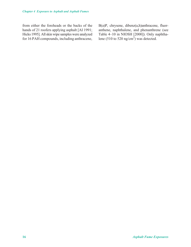from either the foreheads or the backs of the hands of 21 roofers applying asphalt [AI 1991; Hicks 1995]. All skin wipe samples were analyzed for 16 PAH compounds, including anthracene, B(a)P, chrysene, dibenz(a,h)anthracene, fluoranthene, naphthalene, and phenanthrene (see Table 4–10 in NIOSH [2000]). Only naphthalene (510 to 520 ng/cm<sup>2</sup>) was detected.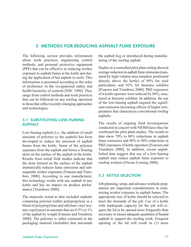# **5 METHODS FOR REDUCING ASPHALT FUME EXPOSURE**

The following section provides information about work practices, engineering control methods, and personal protective equipment (PPE) that can be effective in reducing worker exposure to asphalt fumes at the kettle and during the application of hot asphalt to roofs. This information is presented according to the order of preference in the occupational safety and health hierarchy of controls [NSC 1996]. They range from control methods and work practices that can be followed on any roofing operation to those that reflect recently emerging approaches and technologies.

#### **5.1 SUBSTITUTING LOW-FUMING ASPHALT**

Low-fuming asphalt (i.e., the addition of small amounts of polymer to the asphalt) has been developed to reduce the emission of asphalt fumes from the kettle. Some of the polymer separates from the asphalt and forms a floating skim on the surface of the asphalt in the kettle. Results from initial field studies indicate that the skim formed on the surface of the asphalt dramatically reduces fume emissions and subsequently worker exposures [Franzen and Trumbore 2000]. According to one manufacturer, this technology works with any asphalt in any kettle and has no impact on product performance [Trumbore 2000].

The materials tested to date included asphalts containing polymer (either polypropylene or a blend of polypropylene and ethylene vinyl acetate copolymer) in amounts that are 0.3% to 1% of the asphalt by weight [Franzen and Trumbore 2000]. The polymer is either contained in the packaging material (meltable) that surrounds the asphalt keg or introduced during manufacturing of the roofing asphalt.

Studies in a controlled pilot plant setting showed average reduction in asphalt fume emissions (measured by high-volume-area samplers positioned directly above the kettle) of 89% for total particulates and 92% for benzene solubles [Franzen and Trumbore 2000]. PBZ exposures of a kettle operator were reduced by 84%, measured as benzene solubles. In addition, the use of the low-fuming asphalt negated the significant emission-increasing effects of higher temperatures that characterize conventional roofing asphalts.

The results of ongoing field investigations conducted in concert with NIOSH have thus far confirmed the pilot plant studies. The results to date show 70% to 88% reductions in asphalt fume emissions and 80% to 90% reductions in PBZ exposures of kettle operators [Franzen and Trumbore 2000]. In addition, recent unpublished data suggest that use of a low-fuming asphalt may reduce asphalt fume exposure to rooftop workers [Owens Corning 2000].

#### 5.2 KETTLE SELECTION

Job-planning, setup, and advance worksite preparation are important considerations in minimizing worker exposure to asphalt fumes. The appropriate size of kettle should be selected to meet the demands of the job. Use of a kettle with inadequate capacity for the job will require the lid to be opened more frequently than necessary to ensure adequate quantities of heated asphalt to support the roofing work. Frequent opening of the lid will result in (1) more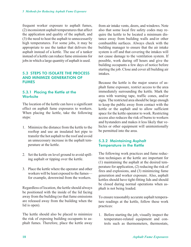frequent worker exposure to asphalt fumes, (2) inconsistent asphalt temperatures that affect the application and quality of the asphalt, and (3) the need to heat the asphalt to unnecessarily high temperatures. For some jobs, it may be appropriate to use the tanker that delivers the asphalt instead of a kettle. The use of a tanker instead of a kettle can reduce fume emissions for jobs in which a large quantity of asphalt is used.

#### 5.3 STEPS TO ISOLATE THE PROCESS AND MINIMIZE GENERATION OF **FUMES**

#### **5.3.1 Placing the Kettle at the Worksite**

The location of the kettle can have a significant effect on asphalt fume exposures to workers. When placing the kettle, take the following steps:

- 1. Minimize the distance from the kettle to the rooftop and use an insulated hot pipe to transfer the hot asphalt to the roof and avoid an unnecessary increase in the asphalt temperature at the kettle.
- 2. Set the kettle on level ground to avoid spilling asphalt or tipping over the kettle.
- 3. Place the kettle where the operator and other workers will be least exposed to the fumes for example, downwind from the workers.

Regardless of location, the kettle should always be positioned with the inside of the lid facing away from the building (so that fume emissions are released away from the building when the lid is open).

The kettle should also be placed to minimize the risk of exposing building occupants to asphalt fumes. Therefore, place the kettle away from air intake vents, doors, and windows. Note also that some local fire safety codes may require the kettle to be located a minimum distance away from building walls and/or other combustible surfaces. Always check with the building manager to ensure that the air intake system is off and that covering the intakes will not cause damage to the ventilation system. If possible, work during off hours and give the building occupants a few days of notice before starting the job. Close and cover all building air intakes.

Because the kettle is the major source of asphalt fume exposure, restrict access to the area immediately surrounding the kettle. Mark the area with warning tape, traffic cones, and/or signs. The restricted area should be large enough to keep the public away from contact with the kettle or the asphalt and to allow sufficient space for the kettle operator to work. Restricting access also reduces the risk of burns to workers and bystanders and makes it less likely that vehicles or other equipment will unintentionally be permitted into the area.

#### **5.3.2 Maintaining Asphalt Temperature in the Kettle**

The following work practices and fume reduction techniques at the kettle are important for (1) maintaining the asphalt at the desired temperature for application, (2) reducing the risk of fires and explosions, and (3) minimizing fume generation and worker exposure. Also, asphalt kettles should have tight-fitting lids and should be closed during normal operations when asphalt is not being loaded.

To ensure reasonably accurate asphalt temperature readings at the kettle, follow these work practices:

1. Before starting the job, visually inspect the temperature-related equipment and controls such as thermometers, thermostats,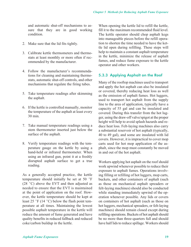and automatic shut-off mechanisms to assure that they are in good working condition.

- 2. Make sure that the lid fits tightly.
- 3. Calibrate kettle thermometers and thermostats at least monthly or more often if recommended by the manufacturer.
- 4. Follow the manufacturer's recommendations for cleaning and maintaining thermostats, automatic shut-off controls, and other mechanisms that regulate the firing tubes.
- 5. Take temperature readings after skimming the asphalt.
- 6. If the kettle is controlled manually, monitor the temperature of the asphalt at least every 30 min.
- 7. Take manual temperature readings using a stem thermometer inserted just below the surface of the asphalt.
- 8. Verify temperature readings with the temperature gauge on the kettle by using a hand-held or infrared thermometer. When using an infrared gun, point it at a freshly disrupted asphalt surface to get a true reading.

As a generally accepted practice, the kettle temperature should initially be set at 50 $\degree$ F (28 $\degree$ C) above the EVT and then adjusted as needed to ensure that the EVT is maintained at the point of application on the roof. However, the kettle temperature should be kept at least 25 °F (14 °C) below the flash point temperature at all times. Maintaining the lowest possible asphalt temperature in the kettle will reduce the amount of fume generated and have quality benefits in reduced fallback and reduced coke/carbon buildup in the kettle.

When opening the kettle lid to refill the kettle, fill it to the maximum recommended fluid level. The kettle operator should chop asphalt kegs into manageable pieces before the refill operation to shorten the time needed to have the kettle lid open during refilling. These steps will help to maintain a constant asphalt temperature in the kettle, minimize the release of asphalt fumes, and reduce fume exposure to the kettle operator and other workers.

# **5.3.3 Applying Asphalt on the Roof**

Many of the rooftop machines used to transport and apply the hot asphalt can also be insulated or covered, thereby reducing heat loss as well as the emission of asphalt fumes. Hot luggers, used to transport hot asphalt from the supply line to the area of application, typically have a capacity of 55 gal and can be insulated and covered. During this transfer from the hot lugger, using the draw-off valve/spigot at the proper height will help to avoid splash hazards and reduce heat loss. Felt-laying machines also carry a substantial reservoir of hot asphalt (typically, 40 to 49 gal), and some are insulated with lid covers. However, it is impractical to cover mop carts used for hot mop application of the asphalt, since the mop must constantly be moved in and out of the hot asphalt.

Workers applying hot asphalt on the roof should work upwind whenever possible to reduce their exposure to asphalt fumes. Operations involving filling or refilling of hot luggers, mop carts, buckets, and other containers of asphalt (such as those on mechanical asphalt spreaders or felt-laying machines) should also be conducted while standing immediately upwind of the operation whenever possible. Any lids or covers on containers of hot asphalt (such as those on hot luggers, mechanical spreaders, or felt-laying machines) should remain closed except during refilling operations. Buckets of hot asphalt should be no more than three-quarters full and should have half lids to reduce spillage. Workers should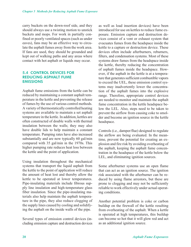carry buckets on the down-roof side, and they should always use a twisting motion to unstick buckets and mops. For work in partially confined or poorly ventilated spaces (such as under eaves), fans may be an effective way to circulate the asphalt fumes away from the work area. If fans are used, they should be grounded and kept out of walking paths and any areas where contact with hot asphalt or liquids may occur.

#### **5.4 CONTROL DEVICES FOR REDUCING ASPHALT FUME EMISSIONS**

Asphalt fume emissions from the kettle can be reduced by maintaining a constant asphalt temperature in the kettle and preventing the release of fumes by the use of various control methods. A variety of thermostatically controlled heating systems are available to maintain a set asphalt temperature in the kettle. In addition, kettles are often constructed of double walls with thermal insulation between the walls; they may also have double lids to help maintain a constant temperature. Pumping rates have also increased substantially and are now typically 60 gal/min compared with 35 gal/min in the 1970s. This higher pumping rate reduces heat loss between the kettle and the point of application.

Using insulation throughout the mechanical systems that transport the liquid asphalt from the kettle to the point of application will reduce the amount of heat lost and thereby allow the kettle to be operated at lower temperatures. Pipe-insulating materials include fibrous supply line insulation and high-temperature glass fiber insulation. Since the pipe-insulating materials also help maintain the asphalt temperature in the pipe, they also reduce clogging of the supply lines caused by cooling and solidifying the asphalt on the inside walls of the pipe.

Several types of emission control devices (including emission capture and destruction devices as well as load insertion devices) have been introduced for use on kettles to reduce fume exposure. Emission capture and destruction devices consist of a vent or exhaust system that evacuates fumes from the headspace inside the kettle to a capture or destruction device. These devices often include afterburners, reburners, filters, and condensation systems. Most of these systems draw fumes from the headspace inside the kettle, thereby reducing the concentration of asphalt fumes inside the headspace. However, if the asphalt in the kettle is at a temperature that generates sufficient combustible vapors to exceed the UEL, these emission control systems may inadvertently lower the concentration of the asphalt fumes into the explosive range. Therefore, appropriate control devices are needed to monitor and maintain the asphalt fume concentration in the kettle headspace below the LEL. Also, steps need to be taken to prevent the airflow from causing coke to smolder and become an ignition source in the kettle headspace.

Controls (i.e., damper/flue) designed to regulate the airflow are being evaluated. In the meantime, prevent the potential for creating an explosion and fire risk by avoiding overheating of the asphalt, keeping the asphalt fume concentration in the headspace of the kettle below the LEL, and eliminating ignition sources.

Some afterburner systems use an open flame that can act as an ignition source. The ignition risk associated with the afterburner can be reduced by using flame arrestors, but these are prone to clogging and may not be sufficiently reliable to work effectively under actual operating conditions.

Another potential problem is coke or carbon buildup on the firewall of the kettle resulting from overheating of the asphalt. When a kettle is operated at high temperatures, this buildup can become so hot that it will glow red and act as an additional ignition source.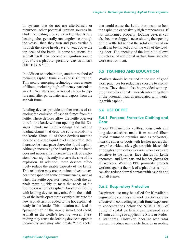In systems that do not use afterburners or reburners, other potential ignition sources include the heating tube vent stack or flue. Kettle heating tubes generally run lengthwise through the vessel, then they turn and pass vertically through the kettle headspace to vent above the top deck of the kettle. In some situations, the asphalt itself can become an ignition source (i.e., if the asphalt temperature reaches at least 600 °F [316 °C]).

In addition to incineration, another method of reducing asphalt fume emissions is filtration. This newly emerging technology uses a series of filters, including high-efficiency particulate air (HEPA) filters and activated carbon to capture and filter particulates and vapors from the asphalt fume.

Loading devices provide another means of reducing the emission of asphalt fumes from the kettle. These devices allow the kettle operator to refill the kettle without opening the lid. Designs include mail slot openings and rotating loading drums that drop the solid asphalt into the kettle. Since all of these devices must be located above the liquid level in the kettle, they increase the headspace above the liquid asphalt. Although increasing the headspace in the kettle does not necessarily increase the risk of explosion, it can significantly increase the size of the explosion. In addition, these devices effectively reduce the usable capacity of the kettle. This reduction may create an incentive to overheat the asphalt in some circumstances, such as when the kettle operator needs to melt the asphalt more quickly to meet the needs of the rooftop crew for hot asphalt. Another difficulty with loading devices may arise from the inability of the kettle operator to evenly distribute the new asphalt as it is added to the hot asphalt already in the kettle. This situation can lead to "pyramiding" of the newly introduced (cold) asphalt in the kettle's heating vessel. Pyramiding may cause the loading device to operate incorrectly and may also create "cold spots" that could cause the kettle thermostat to heat the asphalt to excessively high temperatures. If not maintained properly, loading devices can also become clogged, necessitating the opening of the kettle lid so that the solid chunks of asphalt can be moved out of the way of the loading door. The opening of the kettle lid allows the release of additional asphalt fume into the work environment.

#### **5.5 TRAINING AND EDUCATION**

Workers should be trained in the use of good work practices for reducing exposure to asphalt fumes. They should also be provided with appropriate educational materials informing them of the potential hazards associated with working with asphalt.

#### **5.6 USE OF PPE**

#### **5.6.1 Personal Protective Clothing and Gear**

Proper PPE includes cuffless long pants and long-sleeved shirts made from natural fibers (avoid manmade organics such as polyester), nonskid shoes or boots with leather uppers that cover the ankles, safety glasses with side shields or goggles for rooftop workers whose eyes are sensitive to the fumes, face shields for kettle operators, and hard hats and leather gloves for all workers. Wearing PPE primarily protects workers against the risk of asphalt burns, but it can also reduce dermal contact with asphalt and asphalt fumes.

#### **5.6.2 Respiratory Protection**

Respirator use may be called for if available engineering controls and work practices are ineffective in controlling asphalt fume exposures to concentrations below the NIOSH REL of  $5 \text{ mg/m}^3$  (total particulates measured as a 15-min ceiling) or applicable State or Federal standards. However, because respirator use can introduce new safety hazards in roofing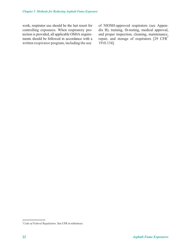work, respirator use should be the last resort for controlling exposures. When respiratory protection is provided, all applicable OSHA requirements should be followed in accordance with a written respirator program, including the use

of NIOSH-approved respirators (see Appendix B), training, fit-testing, medical approval, and proper inspection, cleaning, maintenance, repair, and storage of respirators [29 CFR\* 1910.134].

<sup>\*</sup> *Code of Federal Regulations*. See CFR in references.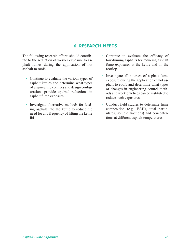# 6 RESEARCH NEEDS

The following research efforts should contribute to the reduction of worker exposure to asphalt fumes during the application of hot asphalt to roofs:

- Continue to evaluate the various types of asphalt kettles and determine what types of engineering controls and design configurations provide optimal reductions in asphalt fume exposure.
- Investigate alternative methods for feeding asphalt into the kettle to reduce the need for and frequency of lifting the kettle lid.
- Continue to evaluate the efficacy of low-fuming asphalts for reducing asphalt fume exposures at the kettle and on the rooftop.
- Investigate all sources of asphalt fume exposure during the application of hot asphalt to roofs and determine what types of changes in engineering control methods and work practices can be instituted to reduce such exposures.
- Conduct field studies to determine fume composition (e.g., PAHs, total particulates, soluble fractions) and concentrations at different asphalt temperatures.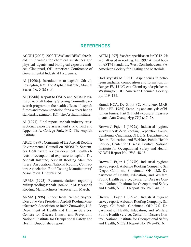# **REFERENCES**

ACGIH [2002]. 2002 TLVs® and BEIs®: threshold limit values for chemical substances and physical agents; and biological exposure indices. Cincinnati, OH: American Conference of Governmental Industrial Hygienists.

AI [1990a]. Introduction to asphalt. 8th ed. Lexington, KY: The Asphalt Institute, Manual Series No. 5 (MS–5).

AI [1990b]. Report to OSHA and NIOSH: status of Asphalt Industry Steering Committee research program on the health effects of asphalt fumes and recommendation for a worker health standard. Lexington, KY: The Asphalt Institute.

AI [1991]. Final report: asphalt industry cross sectional exposure assessment study. Text and Appendix A. College Park, MD: The Asphalt Institute.

AREC [1999]. Comments of the Asphalt Roofing Environmental Council on NIOSH's September 1998 hazard review document: health effects of occupational exposure to asphalt. The Asphalt Institute, Asphalt Roofing Manufacturers' Association, National Roofing Contractors Association, Roof Coating Manufacturers' Association. Unpublished.

ARMA [1993]. Recommendations regarding builtup roofing asphalt. Rockville MD: Asphalt Roofing Manufacturers' Association, March.

ARMA [1996]. Report from Richard Snyder, Executive Vice President, Asphalt Roofing Manufacturer's Association, to Ralph Zumwalde, U.S. Department of Health and Human Services, Centers for Disease Control and Prevention, National Institute for Occupational Safety and Health. Unpublished report.

ASTM [1997]. Standard specification for D312–95a asphalt used in roofing. In: 1997 Annual book of ASTM standards. West Conshohocken, PA: American Society for Testing and Materials.

Boduszynski M [1981]. Asphaltenes in petroleum asphalts: composition and formation. In: Bunger JW, Li NC, eds. Chemistry of asphaltenes. Washington, DC: American Chemical Society, pp. 119–135.

Brandt HCA, De Groot PC, Molyneux MKB, Tindle PE [1985]. Sampling and analysis of bitumen fumes. Part 2. Field exposure measurements. Ann Occup Hyg *29*(1):47–58.

Brown J, Fajen J [1977a]. Industrial hygiene survey report: Zeric Roofing Corporation, Santee, California. Cincinnati, OH: U.S. Department of Health, Education, and Welfare, Public Health Service, Center for Disease Control, National Institute for Occupational Safety and Health, NIOSH Report No. IWS–48.15.

Brown J, Fajen J [1977b]. Industrial hygiene survey report: Asbestos Roofing Company, San Diego, California. Cincinnati, OH: U.S. Department of Health, Education, and Welfare, Public Health Service, Center for Disease Control, National Institute for Occupational Safety and Health, NIOSH Report No. IWS–48.17.

Brown J, Fajen J [1977c]. Industrial hygiene survey report: Asbestos Roofing Company, San Diego, California. Cincinnati, OH: U.S. Department of Health, Education, and Welfare, Public Health Service, Center for Disease Control, National Institute for Occupational Safety and Health, NIOSH Report No. IWS–48.16.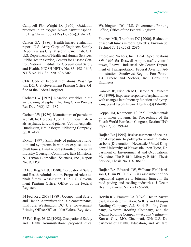Campbell PG, Wright JR [1966]. Oxidation products in an oxygen blown Kuwait asphalt. Ind Eng Chem Product Res Dev *5*(4):319–323.

Carson GA [1986]. Health hazard evaluation report: U.S. Army Corps of Engineers Supply Depot, Kansas City, Missouri. Cincinnati, OH: U.S. Department of Health and Human Services, Public Health Service, Centers for Disease Control, National Institute for Occupational Safety and Health, NIOSH HETA No. 83–198–1646, NTIS No. PB–86–220–696/A02.

CFR. Code of Federal regulations. Washington, DC: U.S. Government Printing Office, Office of the Federal Register.

Corbett LW [1975]. Reaction variables in the air blowing of asphalt. Ind Eng Chem Process Res Dev *14*(2):181–187.

Corbett LW [1979]. Manufacture of petroleum asphalt. In: Hoiberg A, ed. Bituminous materials: asphalts, tars, and pitches. Vol. II. Asphalts. Huntington, NY: Krieger Publishing Company, pp. 81–122.

Exxon [1997]. Shift study of pulmonary function and symptoms in workers exposed to asphalt fumes. Final report submitted to Asphalt Industry Oversight Committee. East Millstone, NJ: Exxon Biomedical Sciences, Inc., Report No. 97TP31.

53 Fed. Reg. 21193 [1988]. Occupational Safety and Health Administration. Proposed rules: asphalt fumes. Washington, DC: U.S. Government Printing Office, Office of the Federal Register.

54 Fed. Reg. 2679 [1989]. Occupational Safety and Health Administration: air contaminants, final rule. Washington, DC: U.S. Government Printing Office, Office of the Federal Register.

57 Fed. Reg. 26182 [1992]. Occupational Safety and Health Administration: proposed rules. Washington, DC: U.S. Government Printing Office, Office of the Federal Register.

Franzen MR, Trumbore DC [2000]. Reduction of asphalt fumes in roofing kettles. Environ Sci Technol *34*(12):2582–2586.

Freese and Nichols, Inc. [1994]. Specifications SW–1695 for Roswell Airport traffic control tower, Roswell Industrial Air Center. Department of Transportation, Federal Aviation Administration, Southwest Region. Fort Worth, TX: Freese and Nichols, Inc., Consulting Engineers.

Gamble JF, Nicolich MJ, Barone NJ, Vincent WJ [1999]. Exposure-response of asphalt fumes with changes in pulmonary function and symptoms. Scand JWork Environ Health *25*(3):186–206.

Goppel JM, Knotnerus J [1955]. Fundamentals of bitumen blowing. In: Proceedings of the Fourth World Petroleum Congress, Section III/G, Paper 2, pp. 399–413.

Hatjian BA [1995]. Risk assessment of occupational exposure to polycyclic aromatic hydrocarbons [Dissertation]. Newcastle, United Kingdom: University of Newcastle upon Tyne, Department of Environmental and Occupational Medicine. The British Library, British Thesis Service, Thesis No. DX186186.

Hatjian BA, Edwards JW, Williams FM, Harrison J, Blain PG [1997]. Risk assessment of occupational exposure to bitumen fumes in the road paving and roofing industries. J Occup Health Saf-Aust NZ *13*(1):65–78.

Hervin RL, Emmett EA [1976]. Health hazard evaluation determination: Sellers and Marquis Roofing Company, A.J. Shirk Roofing Company, Western Roofing Company, and the Quality Roofing Company—A Joint Venture— Kansas City, MO. Cincinnati, OH: U.S. Department of Health, Education, and Welfare,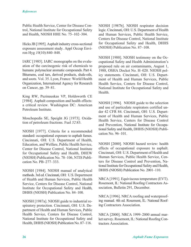Public Health Service, Center for Disease Control, National Institute for Occupational Safety and Health, NIOSH HHE No. 75–102–304.

Hicks JB [1995]. Asphalt industry cross-sectional exposure assessment study. Appl Occup Environ Hyg *10*(10):840–848.

IARC [1985]. IARC monographs on the evaluation of the carcinogenic risk of chemicals to humans: polynuclear aromatic compounds. Part 4. Bitumens, coal tars, derived products, shale-oils, and soots. Vol. 35. Lyon, France: World Health Organization, International Agency for Research on Cancer, pp. 39–81.

King RW, Puzinauskas VP, Holdsworth CE [1984]. Asphalt composition and health effects: a critical review. Washington DC: American Petroleum Institute.

Moschopedis SE, Speight JG [1973]. Oxidation of petroleum fractions. Fuel *52*:83.

NIOSH [1977]. Criteria for a recommended standard: occupational exposure to asphalt fumes. Cincinnati, OH: U.S. Department of Health, Education, and Welfare, Public Health Service, Center for Disease Control, National Institute for Occupational Safety and Health, DHEW (NIOSH) Publication No. 78–106, NTIS Publication No. PB–277–333.

NIOSH [1984]. NIOSH manual of analytical methods. 3rd ed. Cincinnati, OH: U.S. Department of Health and Human Services, Public Health Service, Centers for Disease Control, National Institute for Occupational Safety and Health, DHHS (NIOSH) Publication No. 84–100.

NIOSH [1987a]. NIOSH guide to industrial respiratory protection. Cincinnati, OH: U.S. Department of Health and Human Services, Public Health Service, Centers for Disease Control, National Institute for Occupational Safety and Health, DHHS (NIOSH) Publication No. 87–116.

NIOSH [1987b]. NIOSH respirator decision logic. Cincinnati, OH: U.S. Department of Health and Human Services, Public Health Service, Centers for Disease Control, National Institute for Occupational Safety and Health, DHHS (NIOSH) Publication No. 87–108.

NIOSH [1988]. NIOSH testimony on the Occupational Safety and Health Administration's proposed rule on air contaminants, August 1, 1988, OSHA Docket No. H–020. NIOSH policy statements. Cincinnati, OH: U.S. Department of Health and Human Services, Public Health Service, Centers for Disease Control, National Institute for Occupational Safety and Health.

NIOSH [1996]. NIOSH guide to the selection and use of particulate respirators certified under 42 CFR 84. Cincinnati, OH: U.S. Department of Health and Human Services, Public Health Service, Centers for Disease Control and Prevention, National Institute for Occupational Safety and Health, DHHS (NIOSH) Publication No. 96–101.

NIOSH [2000]. NIOSH hazard review: health effects of occupational exposure to asphalt. Cincinnati, OH: U.S. Department of Health and Human Services, Public Health Service, Centers for Disease Control and Prevention, National Institute for Occupational Safety and Health, DHHS (NIOSH) Publication No. 2001–110.

NRCA [1991]. Equiviscous temperature (EVT). Rosemont, IL: National Roofing Contractors Association, Bulletin 291, December.

NRCA [1996]. NRCA roofing and waterproofing manual. 4th ed. Rosemont, IL: National Roofing Contractors Association.

NRCA [2000]. NRCA 1999–2000 annual market survey. Rosemont, IL: National Roofing Contractors Association.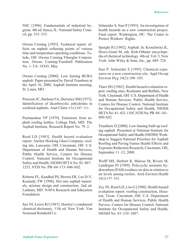NSC [1996]. Fundamentals of industrial hygiene. 4th ed. Itasca, IL: National Safety Council, pp. 532–533.

Owens Corning [1993]. Technical report: effects on asphalt softening points of various time and temperature operating conditions. Toledo, OH: Owens Corning Fiberglas Corporation, Owens Corning/Trumbull Publication No. 1–TA–18343, May.

Owens Corning [2000]. Low fuming BURA asphalt. Paper presented by David Trumbore at the April 16, 2000, Asphalt Institute meeting, St. Louis, MO.

Petersen JC, Barbour FA, Dorrence SM [1975]. Identification of dicarboxylic anhydrides in oxidized asphalts. Anal Chem *47*(1):107–111.

Puzinauskas VP [1979]. Emissions from asphalt roofing kettles. College Park, MD: The Asphalt Institute, Research Report No. 79–2.

Reed LD [1983]. Health hazard evaluation report: Anchor Hocking Glass Company, roofing site, Lancaster, OH. Cincinnati, OH: U.S. Department of Health and Human Services, Public Health Service, Centers for Disease Control, National Institute for Occupational Safety and Health, NIOSH HETA No. 82–067– 1253, NTIS No. PB–84–173–046/A02.

Roberts FL, Kandhal PS, Brown ER, Lee D-Y, Kennedy TW [1996]. Hot mix asphalt materials, mixture design and construction. 2nd ed. Lanham, MD: NAPA Research and Education Foundation.

Sax NI, Lewis RJ [1987]. Hawley's condensed chemical dictionary. 11th ed. New York: Van Nostrand Reinhold Co.

Schneider S, Susi P [1993]. An investigation of health hazards on a new construction project. Final report. Washington, DC: The Center to Protect Workers' Rights.

Speight JG [1992]. Asphalt. In: Kroschwitz JL, Howe-Grant M, eds. Kirk-Othmer encyclopedia of chemical technology. 4th ed. Vol. 3. New York: John Wiley & Sons, Inc., pp. 689–724.

Susi P, Schneider S [1995]. Chemical exposures on a new construction site. Appl Occup Environ Hyg *10*(2):100–103.

Tharr DG [1982]. Health hazard evaluation report: roofing sites, Rochester and Buffalo, New York. Cincinnati, OH: U.S. Department of Health and Human Services, Public Health Service, Centers for Disease Control, National Institute for Occupational Safety and Health, NIOSH HETA No. 81–432–1105, NTIS No. PB–84–141– 860/A02.

Trumbore D [2000]. Low-fuming built-up roofing asphalt. Presented at National Institute for Occupational Safety and Health (NIOSH) Workshop to Suggest National Priorities for Asphalt Roofing and Paving Fumes Health Effects and Exposure Reduction Research, Cincinnati, OH, September 11–12, 2000.

Wolff MS, Herbert R, Marcus M, Rivera M, Landrigan PJ [1989]. Polycyclic aromatic hydrocarbon (PAH) residues on skin in relation to air levels among roofers. Arch Environ Health *44*(3):157–163.

Zey JN, Reed LD, Liss G [1988]. Health hazard evaluation report: roofing construction, Houston, Texas. Cincinnati, OH: U.S. Department of Health and Human Services, Public Health Service, Centers for Disease Control, National Institute for Occupational Safety and Health, NIOSH No. 83–210–1887.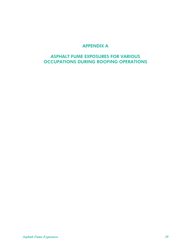# **APPENDIX A**

# **ASPHALT FUME EXPOSURES FOR VARIOUS OCCUPATIONS DURING ROOFING OPERATIONS**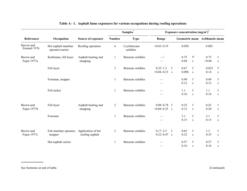|                           |                                                     | Source of exposure             | Samples <sup>'</sup> |                         | Exposure concentration $(mg/m^3)$ <sup>†</sup> |                   |               |                    |                                |                             |
|---------------------------|-----------------------------------------------------|--------------------------------|----------------------|-------------------------|------------------------------------------------|-------------------|---------------|--------------------|--------------------------------|-----------------------------|
| <b>References</b>         | Occupation                                          |                                | <b>Number</b>        | <b>Type</b>             | Range                                          |                   |               |                    | Geometric mean Arithmetic mean |                             |
| Hervin and<br>Emmett 1976 | Hot asphalt machine<br>operator/carrier             | Roofing operation              | 6                    | Cyclohexane<br>solubles | $< 0.02 - 0.19$                                |                   | 0.050         |                    | 0.082                          |                             |
| Brown and<br>Fajen 1977a  | Kettleman, felt layer                               | Asphalt heating and<br>mopping | 1                    | Benzene solubles        | —≛                                             |                   | 0.75<br>0.04  | $f^{\$}$<br>$\,$ S | 0.75<br>< 0.04                 | $\mathbf f$<br>${\bf S}$    |
|                           | Felt layer                                          |                                | $\overline{2}$       | Benzene solubles        | $0.35 - 1.3$<br>$< 0.04 - 0.23$                | f<br>$\mathbf{s}$ | 0.67<br>0.096 | $\mathbf f$<br>S   | 0.825<br>0.14                  | $\mathbf f$<br>$\, {\bf S}$ |
|                           | Foreman, mopper                                     |                                | 1                    | Benzene solubles        |                                                |                   | 0.49<br>0.12  | $\mathbf f$<br>S   | 0.49<br>0.12                   | $\mathbf f$<br>$\, {\bf S}$ |
|                           | Felt tacker                                         |                                | 1                    | Benzene solubles        |                                                |                   | 1.1<br>0.16   | $\mathbf f$<br>S   | 1.1<br>0.16                    | $\mathbf f$<br>$\,$ S       |
| Brown and<br>Fajen 1977b  | Felt layer                                          | Asphalt heating and<br>mopping | $\overline{2}$       | Benzene solubles        | $0.08 - 0.78$ f<br>$< 0.04 - 0.35$             | $\mathbf{s}$      | 0.25<br>0.12  | $\mathbf f$<br>S   | 0.43<br>0.20                   | $\mathbf f$<br>$\mathbf S$  |
|                           | Foreman                                             |                                |                      | Benzene solubles        |                                                |                   | 2.1<br>0.15   | $\mathbf f$<br>S   | 2.1<br>0.15                    | $\mathbf f$<br>$\mathbf S$  |
| Brown and<br>Fajen 1977c  | Felt machine operator, Application of hot<br>mopper | roofing asphalt                | 2                    | Benzene solubles        | $0.17 - 2.5$<br>$0.22 - 0.47$ s                | $\mathbf{f}$      | 0.65<br>0.32  | $\mathbf f$<br>S   | 1.3<br>0.35                    | $\mathbf f$<br>$\,$ S       |
|                           | Hot asphalt carrier                                 |                                |                      | Benzene solubles        |                                                |                   | 0.57<br>0.16  | $\mathbf f$<br>S   | 0.57<br>0.16                   | $\mathbf f$<br>S            |

See footnotes at end of table.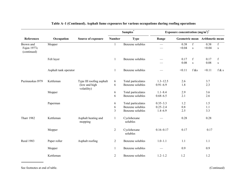|                                         |                       |                                           | Samples <sup>*</sup> |                                                            | <b>Exposure concentration <math>(mg/m^3)</math></b> <sup>†</sup> |                   |                            |                                |                             |
|-----------------------------------------|-----------------------|-------------------------------------------|----------------------|------------------------------------------------------------|------------------------------------------------------------------|-------------------|----------------------------|--------------------------------|-----------------------------|
| <b>References</b>                       | Occupation            | Source of exposure                        |                      | <b>Type</b>                                                | Range                                                            |                   |                            | Geometric mean Arithmetic mean |                             |
| Brown and<br>Fajen 1977c<br>(continued) | Mopper                |                                           | 1                    | Benzene solubles                                           | $\frac{1}{2}$                                                    | 0.38<br>< 0.04    | $\mathbf f$<br>$\mathbf S$ | 0.38<br>< 0.04                 | $\mathbf f$<br>$\mathbf S$  |
|                                         | Felt layer            |                                           | $\mathbf{1}$         | Benzene solubles                                           |                                                                  | 0.17<br>$0.08\,$  | $\mathbf f$<br>$\mathbf S$ | 0.17<br>$0.08\,$               | $\mathbf f$<br>$\, {\bf S}$ |
|                                         | Asphalt tank operator |                                           | 1                    | Benzene solubles                                           |                                                                  | < 0.11            | f $\&$ s                   | < 0.11                         | f & s                       |
| Puzinauskas 1979                        | Kettleman             | Type III roofing asphalt<br>(low and high | 6<br>6               | Total particulates<br>Benzene solubles                     | $1.3 - 12.5$<br>$0.91 - 6.9$                                     | 2.6<br>1.8        |                            | 3.7<br>2.3                     |                             |
|                                         | Mopper                | volatility)                               | 6<br>6               | Total particulates<br>Benzene solubles                     | $1.1 - 8.4$<br>$0.68 - 6.5$                                      | 2.9<br>2.1        |                            | 3.6<br>2.6                     |                             |
|                                         | Paperman              |                                           | 6<br>6<br>3          | Total particulates<br>Benzene solubles<br>Benzene solubles | $0.35 - 3.3$<br>$0.25 - 2.4$<br>$1.4 - 6.9$                      | 1.2<br>0.8<br>2.5 |                            | 1.5<br>1.1<br>3.3              |                             |
| <b>Tharr 1982</b>                       | Kettleman             | Asphalt heating and<br>mopping            | $\mathbf{1}$         | Cyclohexane<br>solubles                                    |                                                                  | 0.28              |                            | 0.28                           |                             |
|                                         | Mopper                |                                           | $\overline{2}$       | Cyclohexane<br>solubles                                    | $0.16 - 0.17$                                                    | 0.17              |                            | 0.17                           |                             |
| Reed 1983                               | Paper roller          | Asphalt roofing                           | $\overline{2}$       | Benzene solubles                                           | $1.0 - 1.1$                                                      | 1.1               |                            | 1.1                            |                             |
|                                         | Mopper                |                                           | 1                    | Benzene solubles                                           |                                                                  | 0.9               |                            | 0.9                            |                             |
|                                         | Kettleman             |                                           | $\overline{2}$       | Benzene solubles                                           | $1.2 - 1.2$                                                      | 1.2               |                            | 1.2                            |                             |

See footnotes at end of table.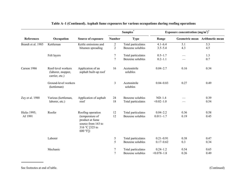|                    |                                                           |                                                                                       | Samples <sup>*</sup> |                          | Exposure concentration $(mg/m^3)$ <sup>†</sup> |      |                                |  |
|--------------------|-----------------------------------------------------------|---------------------------------------------------------------------------------------|----------------------|--------------------------|------------------------------------------------|------|--------------------------------|--|
| <b>References</b>  | Occupation                                                | Source of exposure                                                                    | <b>Number</b>        | <b>Type</b>              | Range                                          |      | Geometric mean Arithmetic mean |  |
| Brandt et al. 1985 | Kettleman                                                 | Kettle emissions and                                                                  | $\boldsymbol{2}$     | Total particulates       | $4.1 - 6.4$                                    | 5.1  | 5.3                            |  |
|                    |                                                           | bitumen spreading                                                                     | $\overline{2}$       | Benzene solubles         | $3.5 - 5.4$                                    | 4.3  | 4.5                            |  |
|                    | Felt layers                                               |                                                                                       | $\tau$               | Total particulates       | $0.5 - 1.7$                                    |      | 1.3                            |  |
|                    |                                                           |                                                                                       | $\overline{7}$       | Benzene solubles         | $0.2 - 1.1$                                    |      | 0.7                            |  |
| Carson 1986        | Roof-level workers<br>(laborer, mopper,<br>carrier, etc.) | Application of an<br>asphalt built-up roof                                            | 16                   | Acetonitrile<br>solubles | $0.04 - 2.7$                                   | 0.16 | 0.34                           |  |
|                    | Ground-level workers<br>(kettleman)                       |                                                                                       | 3                    | Acetonitrile<br>solubles | $0.04 - 0.83$                                  | 0.27 | 0.49                           |  |
| Zey et al. 1988    | Various (kettleman,                                       | Application of asphalt                                                                | 24                   | Benzene solubles         | $ND-1.4$                                       |      | 0.39                           |  |
|                    | laborer, etc.)                                            | roof                                                                                  | 18                   | Total particulates       | $< 0.02 - 1.0$                                 |      | 0.54                           |  |
| Hicks 1995;        | Roofer                                                    | Roofing operation                                                                     | 12                   | Total particulates       | $0.04 - 2.2$                                   | 0.36 | 0.58                           |  |
| AI 1991            |                                                           | (temperature of<br>product at fume<br>source from 163 to<br>316 °C [325 to<br>600 °F] | 12                   | Benzene solubles         | $0.011 - 1.7$                                  | 0.19 | 0.45                           |  |
|                    | Laborer                                                   |                                                                                       | 5                    | Total particulates       | $0.21 - 0.91$                                  | 0.38 | 0.47                           |  |
|                    |                                                           |                                                                                       | 5                    | Benzene solubles         | $0.17 - 0.62$                                  | 0.3  | 0.34                           |  |
|                    | Mechanic                                                  |                                                                                       | 7                    | Total particulates       | $0.24 - 1.2$                                   | 0.54 | 0.65                           |  |
|                    |                                                           |                                                                                       | $\overline{7}$       | Benzene solubles         | $< 0.078 - 1.8$                                | 0.26 | 0.49                           |  |

See footnotes at end of table.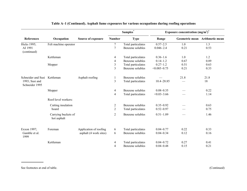|                                  |                                    | Source of exposure     | <b>Samples</b> |                    | Exposure concentration $(mg/m^3)$ <sup>†</sup> |      |                                |
|----------------------------------|------------------------------------|------------------------|----------------|--------------------|------------------------------------------------|------|--------------------------------|
| <b>References</b>                | Occupation                         |                        | <b>Number</b>  | <b>Type</b>        | Range                                          |      | Geometric mean Arithmetic mean |
| Hicks 1995;                      | Felt machine operator              |                        | $\overline{7}$ | Total particulates | $0.57 - 2.5$                                   | 1.0  | 1.3                            |
| AI 1991<br>(continued)           |                                    |                        | $\overline{7}$ | Benzene solubles   | $0.046 - 2.4$                                  | 0.21 | 0.53                           |
|                                  | Kettleman                          |                        | 4              | Total particulates | $0.36 - 1.6$                                   | 1.0  | 1.2                            |
|                                  |                                    |                        | $\overline{4}$ | Benzene solubles   | $0.14 - 1.2$                                   | 0.67 | 0.89                           |
|                                  | Mopper                             |                        | $\mathfrak{Z}$ | Total particulates | $0.27 - 1.2$                                   | 0.51 | 0.63                           |
|                                  |                                    |                        | 3              | Benzene solubles   | $< 0.085 - 0.75$                               | 0.21 | 0.33                           |
| Schneider and Susi               | Kettleman                          | Asphalt roofing        | 1              | Benzene solubles   |                                                | 21.8 | 21.8                           |
| 1993; Susi and<br>Schneider 1995 |                                    |                        | 3              | Total particulates | 10.4-28.85                                     |      | 18                             |
|                                  | Mopper                             |                        | $\overline{4}$ | Benzene solubles   | $0.08 - 0.35$                                  |      | 0.22                           |
|                                  |                                    |                        | $\overline{4}$ | Total particulates | $< 0.03 - 3.66$                                |      | 1.14                           |
|                                  | Roof-level workers:                |                        |                |                    |                                                |      |                                |
|                                  | Cutting insulation                 |                        | $\overline{2}$ | Benzene solubles   | $0.35 - 0.92$                                  |      | 0.63                           |
|                                  | board                              |                        | $\overline{2}$ | Total particulates | $0.52 - 0.97$                                  |      | 0.75                           |
|                                  | Carrying buckets of<br>hot asphalt |                        | $\overline{2}$ | Benzene solubles   | $0.51 - 1.89$                                  |      | 1.46                           |
| Exxon 1997;                      | Foreman                            | Application of roofing | 6              | Total particulates | $0.04 - 0.77$                                  | 0.22 | 0.33                           |
| Gamble et al.<br>1999            |                                    | asphalt (4 work sites) | 6              | Benzene solubles   | $0.04 - 0.34$                                  | 0.12 | 0.16                           |
|                                  | Kettleman                          |                        | $\overline{4}$ | Total particulates | $0.04 - 0.72$                                  | 0.27 | 0.41                           |
|                                  |                                    |                        | $\overline{4}$ | Benzene solubles   | $0.04 - 0.48$                                  | 0.15 | 0.21                           |

See footnotes at end of table.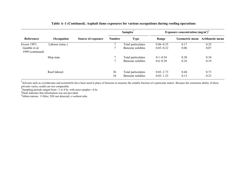|                                   | Occupation      | Source of exposure | <b>Samples</b> |                                        | <b>Exposure concentration <math>(mg/m^3)</math></b> |                |                 |
|-----------------------------------|-----------------|--------------------|----------------|----------------------------------------|-----------------------------------------------------|----------------|-----------------|
| <b>References</b>                 |                 |                    | <b>Number</b>  | <b>Type</b>                            | Range                                               | Geometric mean | Arithmetic mean |
| Exxon 1997;                       | Laborer (misc.) |                    | Ξ              | Total particulates                     | $0.06 - 0.35$                                       | 0.17           | 0.25            |
| Gamble et al.<br>1999 (continued) |                 |                    |                | Benzene solubles                       | $0.03 - 0.22$                                       | 0.06           | 0.07            |
|                                   | Mop man         |                    |                | Total particulates                     | $0.1 - 0.54$                                        | 0.30           | 0.34            |
|                                   |                 |                    |                | Benzene solubles                       | $0.6 - 0.39$                                        | 0.16           | 0.19            |
|                                   | Roof laborer    |                    | 36<br>34       | Total particulates<br>Benzene solubles | $0.03 - 2.73$<br>$0.03 - 1.23$                      | 0.44<br>0.13   | 0.73<br>0.23    |

\* Solvents such as cyclohexane and acetonitrile have been used in place of benzene to measure the soluble fraction of a particular matrix. Because the extraction ability of these

solvents varies, results are not comparable.<br> $\frac{1}{1}$ Sampling periods ranged from <1 to 8 hr, with most samples >6 hr.  $\frac{1}{1}$ Dash indicates that information was not provided. §<br>§Abbreviations: f=filter; ND=not detecte